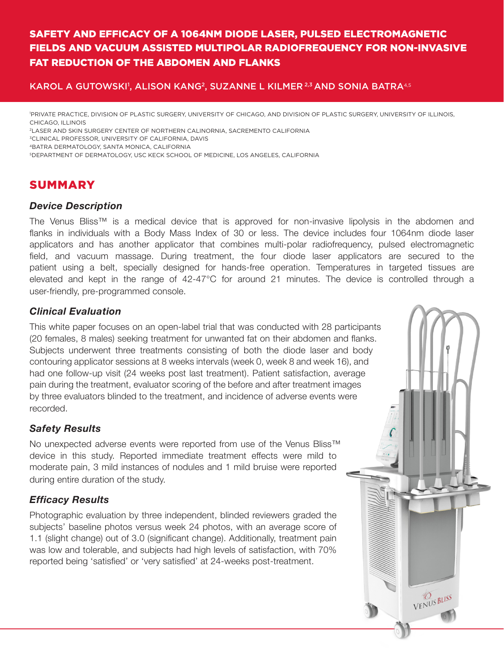# SAFETY AND EFFICACY OF A 1064NM DIODE LASER, PULSED ELECTROMAGNETIC FIELDS AND VACUUM ASSISTED MULTIPOLAR RADIOFREQUENCY FOR NON-INVASIVE FAT REDUCTION OF THE ABDOMEN AND FLANKS

## KAROL A GUTOWSKI', ALISON KANG<sup>2</sup>, SUZANNE L KILMER  $^{2,3}$  AND SONIA BATRA $^{4,5}$

1 PRIVATE PRACTICE, DIVISION OF PLASTIC SURGERY, UNIVERSITY OF CHICAGO, AND DIVISION OF PLASTIC SURGERY, UNIVERSITY OF ILLINOIS, CHICAGO, ILLINOIS

2LASER AND SKIN SURGERY CENTER OF NORTHERN CALINORNIA, SACREMENTO CALIFORNIA

<sup>3</sup>CLINICAL PROFESSOR, UNIVERSITY OF CALIFORNIA, DAVIS

4BATRA DERMATOLOGY, SANTA MONICA, CALIFORNIA

5DEPARTMENT OF DERMATOLOGY, USC KECK SCHOOL OF MEDICINE, LOS ANGELES, CALIFORNIA

# SUMMARY

### *Device Description*

The Venus Bliss™ is a medical device that is approved for non-invasive lipolysis in the abdomen and flanks in individuals with a Body Mass Index of 30 or less. The device includes four 1064nm diode laser applicators and has another applicator that combines multi-polar radiofrequency, pulsed electromagnetic field, and vacuum massage. During treatment, the four diode laser applicators are secured to the patient using a belt, specially designed for hands-free operation. Temperatures in targeted tissues are elevated and kept in the range of 42-47°C for around 21 minutes. The device is controlled through a user-friendly, pre-programmed console.

VENUS BLISS

## *Clinical Evaluation*

This white paper focuses on an open-label trial that was conducted with 28 participants (20 females, 8 males) seeking treatment for unwanted fat on their abdomen and flanks. Subjects underwent three treatments consisting of both the diode laser and body contouring applicator sessions at 8 weeks intervals (week 0, week 8 and week 16), and had one follow-up visit (24 weeks post last treatment). Patient satisfaction, average pain during the treatment, evaluator scoring of the before and after treatment images by three evaluators blinded to the treatment, and incidence of adverse events were recorded.

# *Safety Results*

No unexpected adverse events were reported from use of the Venus Bliss™ device in this study. Reported immediate treatment effects were mild to moderate pain, 3 mild instances of nodules and 1 mild bruise were reported during entire duration of the study.

# *Efficacy Results*

Photographic evaluation by three independent, blinded reviewers graded the subjects' baseline photos versus week 24 photos, with an average score of 1.1 (slight change) out of 3.0 (significant change). Additionally, treatment pain was low and tolerable, and subjects had high levels of satisfaction, with 70% reported being 'satisfied' or 'very satisfied' at 24-weeks post-treatment.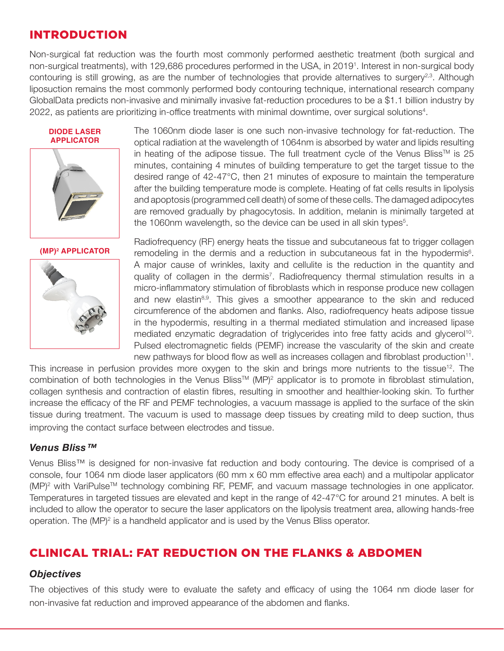# INTRODUCTION

Non-surgical fat reduction was the fourth most commonly performed aesthetic treatment (both surgical and non-surgical treatments), with 129,686 procedures performed in the USA, in 2019<sup>1</sup>. Interest in non-surgical body contouring is still growing, as are the number of technologies that provide alternatives to surgery<sup>2,3</sup>. Although liposuction remains the most commonly performed body contouring technique, international research company GlobalData predicts non-invasive and minimally invasive fat-reduction procedures to be a \$1.1 billion industry by 2022, as patients are prioritizing in-office treatments with minimal downtime, over surgical solutions<sup>4</sup>.





#### **(MP)2 APPLICATOR**



The 1060nm diode laser is one such non-invasive technology for fat-reduction. The optical radiation at the wavelength of 1064nm is absorbed by water and lipids resulting in heating of the adipose tissue. The full treatment cycle of the Venus Bliss<sup>TM</sup> is 25 minutes, containing 4 minutes of building temperature to get the target tissue to the desired range of 42-47°C, then 21 minutes of exposure to maintain the temperature after the building temperature mode is complete. Heating of fat cells results in lipolysis and apoptosis (programmed cell death) of some of these cells. The damaged adipocytes are removed gradually by phagocytosis. In addition, melanin is minimally targeted at the 1060nm wavelength, so the device can be used in all skin types<sup>5</sup>.

Radiofrequency (RF) energy heats the tissue and subcutaneous fat to trigger collagen remodeling in the dermis and a reduction in subcutaneous fat in the hypodermis<sup>6</sup>. A major cause of wrinkles, laxity and cellulite is the reduction in the quantity and quality of collagen in the dermis<sup>7</sup>. Radiofrequency thermal stimulation results in a micro-inflammatory stimulation of fibroblasts which in response produce new collagen and new elastin<sup>8,9</sup>. This gives a smoother appearance to the skin and reduced circumference of the abdomen and flanks. Also, radiofrequency heats adipose tissue in the hypodermis, resulting in a thermal mediated stimulation and increased lipase mediated enzymatic degradation of triglycerides into free fatty acids and glycerol<sup>10</sup>. Pulsed electromagnetic fields (PEMF) increase the vascularity of the skin and create new pathways for blood flow as well as increases collagen and fibroblast production<sup>11</sup>.

This increase in perfusion provides more oxygen to the skin and brings more nutrients to the tissue<sup>12</sup>. The combination of both technologies in the Venus Bliss™ (MP)<sup>2</sup> applicator is to promote in fibroblast stimulation, collagen synthesis and contraction of elastin fibres, resulting in smoother and healthier-looking skin. To further increase the efficacy of the RF and PEMF technologies, a vacuum massage is applied to the surface of the skin tissue during treatment. The vacuum is used to massage deep tissues by creating mild to deep suction, thus improving the contact surface between electrodes and tissue.

### *Venus Bliss™*

Venus Bliss™ is designed for non-invasive fat reduction and body contouring. The device is comprised of a console, four 1064 nm diode laser applicators (60 mm x 60 mm effective area each) and a multipolar applicator (MP)<sup>2</sup> with VariPulse<sup>™</sup> technology combining RF, PEMF, and vacuum massage technologies in one applicator. Temperatures in targeted tissues are elevated and kept in the range of 42-47°C for around 21 minutes. A belt is included to allow the operator to secure the laser applicators on the lipolysis treatment area, allowing hands-free operation. The  $(MP)^2$  is a handheld applicator and is used by the Venus Bliss operator.

# CLINICAL TRIAL: FAT REDUCTION ON THE FLANKS & ABDOMEN

### *Objectives*

The objectives of this study were to evaluate the safety and efficacy of using the 1064 nm diode laser for non-invasive fat reduction and improved appearance of the abdomen and flanks.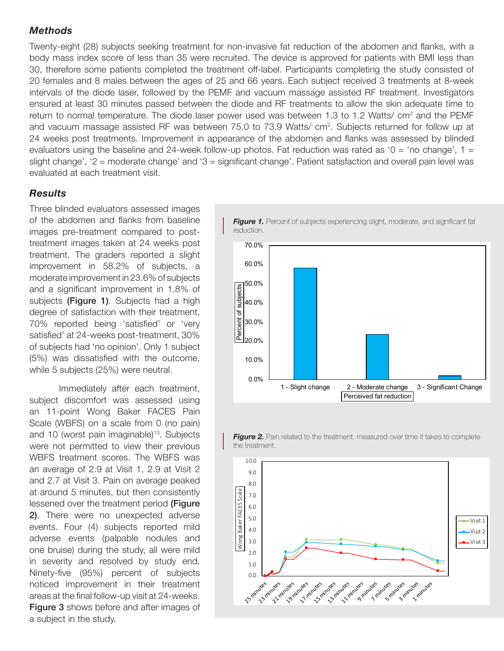### *Methods*

Twenty-eight (28) subjects seeking treatment for non-invasive fat reduction of the abdomen and flanks, with a body mass index score of less than 35 were recruited. The device is approved for patients with BMI less than 30, therefore some patients completed the treatment off-label. Participants completing the study consisted of 20 females and 8 males between the ages of 25 and 66 years. Each subject received 3 treatments at 8-week intervals of the diode laser, followed by the PEMF and vacuum massage assisted RF treatment. Investigators ensured at least 30 minutes passed between the diode and RF treatments to allow the skin adequate time to return to normal temperature. The diode laser power used was between 1.3 to 1.2 Watts/  $cm<sup>2</sup>$  and the PEMF and vacuum massage assisted RF was between 75.0 to 73.9 Watts/ cm<sup>2</sup>. Subjects returned for follow up at 24 weeks post treatments. Improvement in appearance of the abdomen and flanks was assessed by blinded evaluators using the baseline and 24-week follow-up photos. Fat reduction was rated as '0 = 'no change', 1 = slight change', '2 = moderate change' and '3 = significant change'. Patient satisfaction and overall pain level was evaluated at each treatment visit.

### *Results*

Three blinded evaluators assessed images of the abdomen and flanks from baseline images pre-treatment compared to posttreatment images taken at 24 weeks post treatment. The graders reported a slight improvement in 58.2% of subjects, a moderate improvement in 23.6% of subjects and a significant improvement in 1.8% of subjects (**Figure 1**). Subjects had a high degree of satisfaction with their treatment, 70% reported being 'satisfied' or 'very satisfied' at 24-weeks post-treatment, 30% of subjects had 'no opinion'. Only 1 subject (5%) was dissatisfied with the outcome, while 5 subjects (25%) were neutral.

Immediately after each treatment, subject discomfort was assessed using an 11-point Wong Baker FACES Pain Scale (WBFS) on a scale from 0 (no pain) and 10 (worst pain imaginable)<sup>13</sup>. Subjects were not permitted to view their previous WBFS treatment scores. The WBFS was an average of 2.9 at Visit 1, 2.9 at Visit 2 and 2.7 at Visit 3. Pain on average peaked at around 5 minutes, but then consistently lessened over the treatment period (Figure 2). There were no unexpected adverse events. Four (4) subjects reported mild adverse events (palpable nodules and one bruise) during the study, all were mild in severity and resolved by study end. Ninety-five (95%) percent of subjects noticed improvement in their treatment areas at the final follow-up visit at 24-weeks. **Figure 3** shows before and after images of a subject in the study.



**Figure 1.** Percent of subjects experiencing slight, moderate, and significant fat



*Figure 2.* Pain related to the treatment, measured over time it takes to complete the treatment.

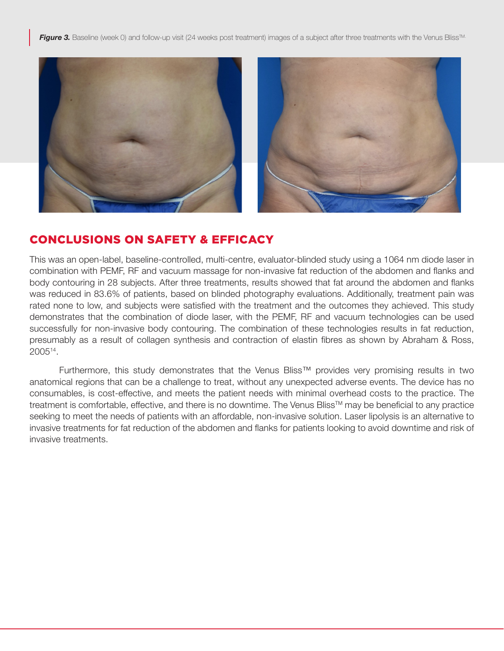**Figure 3.** Baseline (week 0) and follow-up visit (24 weeks post treatment) images of a subject after three treatments with the Venus Bliss<sup>™.</sup>



# CONCLUSIONS ON SAFETY & EFFICACY

This was an open-label, baseline-controlled, multi-centre, evaluator-blinded study using a 1064 nm diode laser in combination with PEMF, RF and vacuum massage for non-invasive fat reduction of the abdomen and flanks and body contouring in 28 subjects. After three treatments, results showed that fat around the abdomen and flanks was reduced in 83.6% of patients, based on blinded photography evaluations. Additionally, treatment pain was rated none to low, and subjects were satisfied with the treatment and the outcomes they achieved. This study demonstrates that the combination of diode laser, with the PEMF, RF and vacuum technologies can be used successfully for non-invasive body contouring. The combination of these technologies results in fat reduction, presumably as a result of collagen synthesis and contraction of elastin fibres as shown by Abraham & Ross, 200514.

Furthermore, this study demonstrates that the Venus Bliss™ provides very promising results in two anatomical regions that can be a challenge to treat, without any unexpected adverse events. The device has no consumables, is cost-effective, and meets the patient needs with minimal overhead costs to the practice. The treatment is comfortable, effective, and there is no downtime. The Venus Bliss™ may be beneficial to any practice seeking to meet the needs of patients with an affordable, non-invasive solution. Laser lipolysis is an alternative to invasive treatments for fat reduction of the abdomen and flanks for patients looking to avoid downtime and risk of invasive treatments.